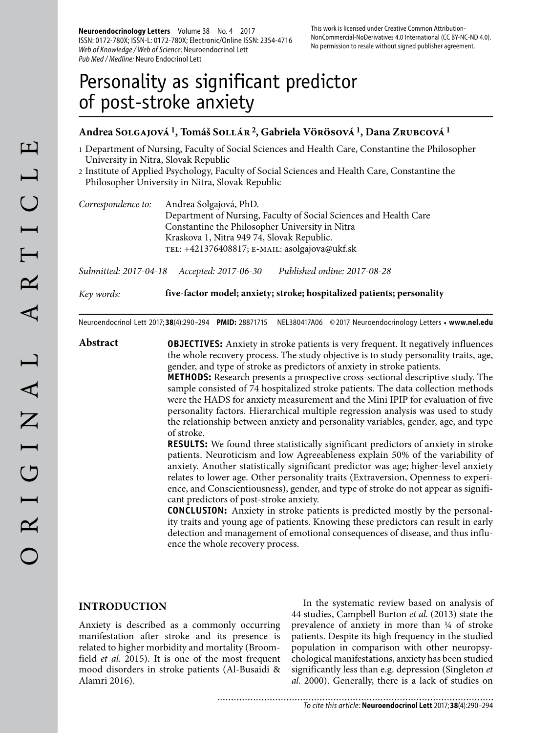**Neuroendocrinology Letters** Volume 38 No. 4 2017 ISSN: 0172-780X; ISSN-L: 0172-780X; Electronic/Online ISSN: 2354-4716 Web of Knowledge / Web of Science: Neuroendocrinol Lett Pub Med / Medline: Neuro Endocrinol Lett

This work is licensed under Creative Common Attribution-NonCommercial-NoDerivatives 4.0 International (CC BY-NC-ND 4.0). No permission to resale without signed publisher agreement.

# Personality as significant predictor of post-stroke anxiety

# **Andrea Solgajová 1, Tomáš Sollár 2, Gabriela Vörösová 1, Dana Zrubcová 1**

- 1 Department of Nursing, Faculty of Social Sciences and Health Care, Constantine the Philosopher University in Nitra, Slovak Republic
- 2 Institute of Applied Psychology, Faculty of Social Sciences and Health Care, Constantine the Philosopher University in Nitra, Slovak Republic

| Correspondence to: | Andrea Solgajová, PhD.                                            |
|--------------------|-------------------------------------------------------------------|
|                    | Department of Nursing, Faculty of Social Sciences and Health Care |
|                    | Constantine the Philosopher University in Nitra                   |
|                    | Kraskova 1, Nitra 949 74, Slovak Republic.                        |
|                    | TEL: +421376408817; E-MAIL: asolgajova@ukf.sk                     |

*Submitted: 2017-04-18 Accepted: 2017-06-30 Published online: 2017-08-28*

*Key words:* **five-factor model; anxiety; stroke; hospitalized patients; personality**

Neuroendocrinol Lett 2017; **38**(4):290–294 **PMID:** 28871715 NEL380417A06 © 2017 Neuroendocrinology Letters • **www.nel.edu**

**Abstract OBJECTIVES:** Anxiety in stroke patients is very frequent. It negatively influences the whole recovery process. The study objective is to study personality traits, age, gender, and type of stroke as predictors of anxiety in stroke patients.

> **METHODS:** Research presents a prospective cross-sectional descriptive study. The sample consisted of 74 hospitalized stroke patients. The data collection methods were the HADS for anxiety measurement and the Mini IPIP for evaluation of five personality factors. Hierarchical multiple regression analysis was used to study the relationship between anxiety and personality variables, gender, age, and type of stroke.

> **RESULTS:** We found three statistically significant predictors of anxiety in stroke patients. Neuroticism and low Agreeableness explain 50% of the variability of anxiety. Another statistically significant predictor was age; higher-level anxiety relates to lower age. Other personality traits (Extraversion, Openness to experience, and Conscientiousness), gender, and type of stroke do not appear as significant predictors of post-stroke anxiety.

> **CONCLUSION:** Anxiety in stroke patients is predicted mostly by the personality traits and young age of patients. Knowing these predictors can result in early detection and management of emotional consequences of disease, and thus influence the whole recovery process.

#### **INTRODUCTION**

Anxiety is described as a commonly occurring manifestation after stroke and its presence is related to higher morbidity and mortality (Broomfield *et al.* 2015). It is one of the most frequent mood disorders in stroke patients (Al-Busaidi & Alamri 2016).

In the systematic review based on analysis of 44 studies, Campbell Burton *et al.* (2013) state the prevalence of anxiety in more than ¼ of stroke patients. Despite its high frequency in the studied population in comparison with other neuropsychological manifestations, anxiety has been studied significantly less than e.g. depression (Singleton *et al.* 2000). Generally, there is a lack of studies on

........................... To cite this article: **Neuroendocrinol Lett** 2017; **38**(4):290–294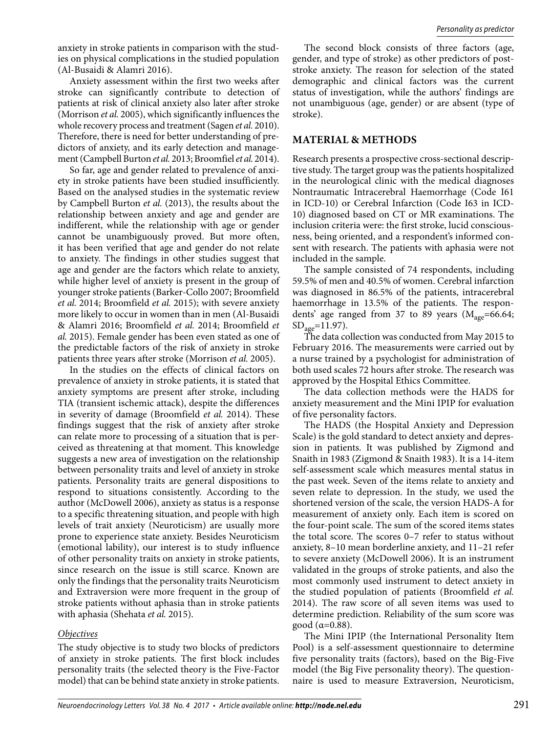anxiety in stroke patients in comparison with the studies on physical complications in the studied population (Al-Busaidi & Alamri 2016).

Anxiety assessment within the first two weeks after stroke can significantly contribute to detection of patients at risk of clinical anxiety also later after stroke (Morrison *et al.* 2005), which significantly influences the whole recovery process and treatment (Sagen *et al.* 2010). Therefore, there is need for better understanding of predictors of anxiety, and its early detection and management (Campbell Burton *et al.* 2013; Broomfiel *et al.* 2014).

So far, age and gender related to prevalence of anxiety in stroke patients have been studied insufficiently. Based on the analysed studies in the systematic review by Campbell Burton *et al.* (2013), the results about the relationship between anxiety and age and gender are indifferent, while the relationship with age or gender cannot be unambiguously proved. But more often, it has been verified that age and gender do not relate to anxiety. The findings in other studies suggest that age and gender are the factors which relate to anxiety, while higher level of anxiety is present in the group of younger stroke patients (Barker-Collo 2007; Broomfield *et al.* 2014; Broomfield *et al.* 2015); with severe anxiety more likely to occur in women than in men (Al-Busaidi & Alamri 2016; Broomfield *et al.* 2014; Broomfield *et al.* 2015). Female gender has been even stated as one of the predictable factors of the risk of anxiety in stroke patients three years after stroke (Morrison *et al.* 2005).

In the studies on the effects of clinical factors on prevalence of anxiety in stroke patients, it is stated that anxiety symptoms are present after stroke, including TIA (transient ischemic attack), despite the differences in severity of damage (Broomfield *et al.* 2014). These findings suggest that the risk of anxiety after stroke can relate more to processing of a situation that is perceived as threatening at that moment. This knowledge suggests a new area of investigation on the relationship between personality traits and level of anxiety in stroke patients. Personality traits are general dispositions to respond to situations consistently. According to the author (McDowell 2006), anxiety as status is a response to a specific threatening situation, and people with high levels of trait anxiety (Neuroticism) are usually more prone to experience state anxiety. Besides Neuroticism (emotional lability), our interest is to study influence of other personality traits on anxiety in stroke patients, since research on the issue is still scarce. Known are only the findings that the personality traits Neuroticism and Extraversion were more frequent in the group of stroke patients without aphasia than in stroke patients with aphasia (Shehata *et al.* 2015).

# *Objectives*

The study objective is to study two blocks of predictors of anxiety in stroke patients. The first block includes personality traits (the selected theory is the Five-Factor model) that can be behind state anxiety in stroke patients.

The second block consists of three factors (age, gender, and type of stroke) as other predictors of poststroke anxiety. The reason for selection of the stated demographic and clinical factors was the current status of investigation, while the authors' findings are not unambiguous (age, gender) or are absent (type of stroke).

# **MATERIAL & METHODS**

Research presents a prospective cross-sectional descriptive study. The target group was the patients hospitalized in the neurological clinic with the medical diagnoses Nontraumatic Intracerebral Haemorrhage (Code I61 in ICD-10) or Cerebral Infarction (Code I63 in ICD-10) diagnosed based on CT or MR examinations. The inclusion criteria were: the first stroke, lucid consciousness, being oriented, and a respondent's informed consent with research. The patients with aphasia were not included in the sample.

The sample consisted of 74 respondents, including 59.5% of men and 40.5% of women. Cerebral infarction was diagnosed in 86.5% of the patients, intracerebral haemorrhage in 13.5% of the patients. The respondents' age ranged from 37 to 89 years ( $M_{\text{age}}$ =66.64;  $SD<sub>age</sub>=11.97$ ).

The data collection was conducted from May 2015 to February 2016. The measurements were carried out by a nurse trained by a psychologist for administration of both used scales 72 hours after stroke. The research was approved by the Hospital Ethics Committee.

The data collection methods were the HADS for anxiety measurement and the Mini IPIP for evaluation of five personality factors.

The HADS (the Hospital Anxiety and Depression Scale) is the gold standard to detect anxiety and depression in patients. It was published by Zigmond and Snaith in 1983 (Zigmond & Snaith 1983). It is a 14-item self-assessment scale which measures mental status in the past week. Seven of the items relate to anxiety and seven relate to depression. In the study, we used the shortened version of the scale, the version HADS-A for measurement of anxiety only. Each item is scored on the four-point scale. The sum of the scored items states the total score. The scores 0–7 refer to status without anxiety, 8–10 mean borderline anxiety, and 11–21 refer to severe anxiety (McDowell 2006). It is an instrument validated in the groups of stroke patients, and also the most commonly used instrument to detect anxiety in the studied population of patients (Broomfield *et al.*  2014). The raw score of all seven items was used to determine prediction. Reliability of the sum score was good ( $\alpha$ =0.88).

The Mini IPIP (the International Personality Item Pool) is a self-assessment questionnaire to determine five personality traits (factors), based on the Big-Five model (the Big Five personality theory). The questionnaire is used to measure Extraversion, Neuroticism,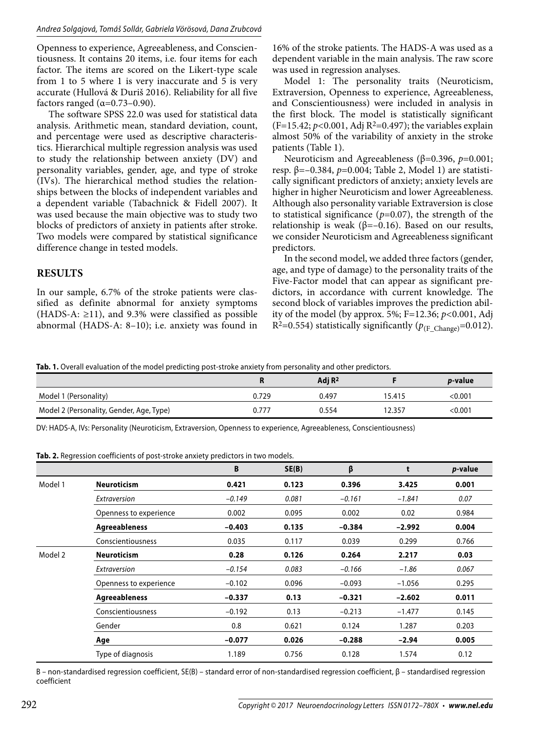Openness to experience, Agreeableness, and Conscientiousness. It contains 20 items, i.e. four items for each factor. The items are scored on the Likert-type scale from 1 to 5 where 1 is very inaccurate and 5 is very accurate (Hullová & Duriš 2016). Reliability for all five factors ranged  $(\alpha=0.73-0.90)$ .

The software SPSS 22.0 was used for statistical data analysis. Arithmetic mean, standard deviation, count, and percentage were used as descriptive characteristics. Hierarchical multiple regression analysis was used to study the relationship between anxiety (DV) and personality variables, gender, age, and type of stroke (IVs). The hierarchical method studies the relationships between the blocks of independent variables and a dependent variable (Tabachnick & Fidell 2007). It was used because the main objective was to study two blocks of predictors of anxiety in patients after stroke. Two models were compared by statistical significance difference change in tested models.

# **RESULTS**

In our sample, 6.7% of the stroke patients were classified as definite abnormal for anxiety symptoms (HADS-A:  $\geq$ 11), and 9.3% were classified as possible abnormal (HADS-A: 8–10); i.e. anxiety was found in 16% of the stroke patients. The HADS-A was used as a dependent variable in the main analysis. The raw score was used in regression analyses.

Model 1: The personality traits (Neuroticism, Extraversion, Openness to experience, Agreeableness, and Conscientiousness) were included in analysis in the first block. The model is statistically significant  $(F=15.42; p<0.001, \text{Adj } R^2=0.497)$ ; the variables explain almost 50% of the variability of anxiety in the stroke patients (Table 1).

Neuroticism and Agreeableness (β=0.396, *p*=0.001; resp. β=–0.384, *p*=0.004; Table 2, Model 1) are statistically significant predictors of anxiety; anxiety levels are higher in higher Neuroticism and lower Agreeableness. Although also personality variable Extraversion is close to statistical significance  $(p=0.07)$ , the strength of the relationship is weak ( $β=-0.16$ ). Based on our results, we consider Neuroticism and Agreeableness significant predictors.

In the second model, we added three factors (gender, age, and type of damage) to the personality traits of the Five-Factor model that can appear as significant predictors, in accordance with current knowledge. The second block of variables improves the prediction ability of the model (by approx. 5%; F=12.36; *p<*0.001, Adj R<sup>2</sup>=0.554) statistically significantly ( $p_{\text{(F-Change)}}$ =0.012).

**Tab. 1.** Overall evaluation of the model predicting post-stroke anxiety from personality and other predictors.

|                                          |       | Adj R <sup>2</sup> |        | <i>p</i> -value |
|------------------------------------------|-------|--------------------|--------|-----------------|
| Model 1 (Personality)                    | 0.729 | 0.497              | 15.415 | < 0.001         |
| Model 2 (Personality, Gender, Age, Type) | 0.777 | 0.554              | 12.357 | < 0.001         |

DV: HADS-A, IVs: Personality (Neuroticism, Extraversion, Openness to experience, Agreeableness, Conscientiousness)

**Tab. 2.** Regression coefficients of post-stroke anxiety predictors in two models.

|         |                        | B        | SE(B) | β        | t        | <i>p</i> -value |
|---------|------------------------|----------|-------|----------|----------|-----------------|
| Model 1 | <b>Neuroticism</b>     | 0.421    | 0.123 | 0.396    | 3.425    | 0.001           |
|         | Extraversion           | $-0.149$ | 0.081 | $-0.161$ | $-1.841$ | 0.07            |
|         | Openness to experience | 0.002    | 0.095 | 0.002    | 0.02     | 0.984           |
|         | Agreeableness          | $-0.403$ | 0.135 | $-0.384$ | $-2.992$ | 0.004           |
|         | Conscientiousness      | 0.035    | 0.117 | 0.039    | 0.299    | 0.766           |
| Model 2 | <b>Neuroticism</b>     | 0.28     | 0.126 | 0.264    | 2.217    | 0.03            |
|         | Extraversion           | $-0.154$ | 0.083 | $-0.166$ | $-1.86$  | 0.067           |
|         | Openness to experience | $-0.102$ | 0.096 | $-0.093$ | $-1.056$ | 0.295           |
|         | Agreeableness          | $-0.337$ | 0.13  | $-0.321$ | $-2.602$ | 0.011           |
|         | Conscientiousness      | $-0.192$ | 0.13  | $-0.213$ | $-1.477$ | 0.145           |
|         | Gender                 | 0.8      | 0.621 | 0.124    | 1.287    | 0.203           |
|         | Age                    | $-0.077$ | 0.026 | $-0.288$ | $-2.94$  | 0.005           |
|         | Type of diagnosis      | 1.189    | 0.756 | 0.128    | 1.574    | 0.12            |

B – non-standardised regression coefficient, SE(B) – standard error of non-standardised regression coefficient, β – standardised regression coefficient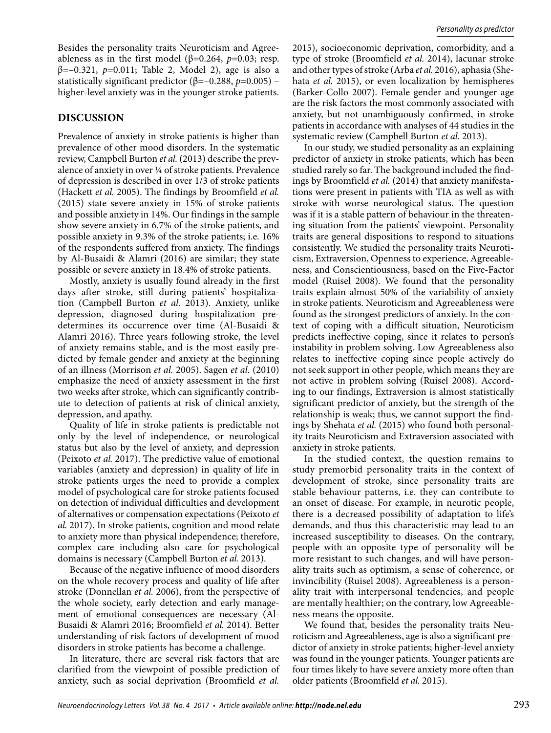Besides the personality traits Neuroticism and Agreeableness as in the first model ( $β=0.264$ ,  $p=0.03$ ; resp. β=–0.321, *p*=0.011; Table 2, Model 2), age is also a statistically significant predictor ( $\beta$ =–0.288, *p*=0.005) – higher-level anxiety was in the younger stroke patients.

# **DISCUSSION**

Prevalence of anxiety in stroke patients is higher than prevalence of other mood disorders. In the systematic review, Campbell Burton *et al.* (2013) describe the prevalence of anxiety in over ¼ of stroke patients. Prevalence of depression is described in over 1/3 of stroke patients (Hackett *et al.* 2005). The findings by Broomfield *et al.*  (2015) state severe anxiety in 15% of stroke patients and possible anxiety in 14%. Our findings in the sample show severe anxiety in 6.7% of the stroke patients, and possible anxiety in 9.3% of the stroke patients; i.e. 16% of the respondents suffered from anxiety. The findings by Al-Busaidi & Alamri (2016) are similar; they state possible or severe anxiety in 18.4% of stroke patients.

Mostly, anxiety is usually found already in the first days after stroke, still during patients' hospitalization (Campbell Burton *et al.* 2013). Anxiety, unlike depression, diagnosed during hospitalization predetermines its occurrence over time (Al-Busaidi & Alamri 2016). Three years following stroke, the level of anxiety remains stable, and is the most easily predicted by female gender and anxiety at the beginning of an illness (Morrison *et al.* 2005). Sagen *et al.* (2010) emphasize the need of anxiety assessment in the first two weeks after stroke, which can significantly contribute to detection of patients at risk of clinical anxiety, depression, and apathy.

Quality of life in stroke patients is predictable not only by the level of independence, or neurological status but also by the level of anxiety, and depression (Peixoto *et al.* 2017). The predictive value of emotional variables (anxiety and depression) in quality of life in stroke patients urges the need to provide a complex model of psychological care for stroke patients focused on detection of individual difficulties and development of alternatives or compensation expectations (Peixoto *et al.* 2017). In stroke patients, cognition and mood relate to anxiety more than physical independence; therefore, complex care including also care for psychological domains is necessary (Campbell Burton *et al.* 2013).

Because of the negative influence of mood disorders on the whole recovery process and quality of life after stroke (Donnellan *et al.* 2006), from the perspective of the whole society, early detection and early management of emotional consequences are necessary (Al-Busaidi & Alamri 2016; Broomfield *et al.* 2014). Better understanding of risk factors of development of mood disorders in stroke patients has become a challenge.

In literature, there are several risk factors that are clarified from the viewpoint of possible prediction of anxiety, such as social deprivation (Broomfield *et al.* 

2015), socioeconomic deprivation, comorbidity, and a type of stroke (Broomfield *et al.* 2014), lacunar stroke and other types of stroke (Arba *et al.* 2016), aphasia (Shehata *et al.* 2015), or even localization by hemispheres (Barker-Collo 2007). Female gender and younger age are the risk factors the most commonly associated with anxiety, but not unambiguously confirmed, in stroke patients in accordance with analyses of 44 studies in the systematic review (Campbell Burton *et al.* 2013).

In our study, we studied personality as an explaining predictor of anxiety in stroke patients, which has been studied rarely so far. The background included the findings by Broomfield *et al.* (2014) that anxiety manifestations were present in patients with TIA as well as with stroke with worse neurological status. The question was if it is a stable pattern of behaviour in the threatening situation from the patients' viewpoint. Personality traits are general dispositions to respond to situations consistently. We studied the personality traits Neuroticism, Extraversion, Openness to experience, Agreeableness, and Conscientiousness, based on the Five-Factor model (Ruisel 2008). We found that the personality traits explain almost 50% of the variability of anxiety in stroke patients. Neuroticism and Agreeableness were found as the strongest predictors of anxiety. In the context of coping with a difficult situation, Neuroticism predicts ineffective coping, since it relates to person's instability in problem solving. Low Agreeableness also relates to ineffective coping since people actively do not seek support in other people, which means they are not active in problem solving (Ruisel 2008). According to our findings, Extraversion is almost statistically significant predictor of anxiety, but the strength of the relationship is weak; thus, we cannot support the findings by Shehata *et al.* (2015) who found both personality traits Neuroticism and Extraversion associated with anxiety in stroke patients.

In the studied context, the question remains to study premorbid personality traits in the context of development of stroke, since personality traits are stable behaviour patterns, i.e. they can contribute to an onset of disease. For example, in neurotic people, there is a decreased possibility of adaptation to life's demands, and thus this characteristic may lead to an increased susceptibility to diseases. On the contrary, people with an opposite type of personality will be more resistant to such changes, and will have personality traits such as optimism, a sense of coherence, or invincibility (Ruisel 2008). Agreeableness is a personality trait with interpersonal tendencies, and people are mentally healthier; on the contrary, low Agreeableness means the opposite.

We found that, besides the personality traits Neuroticism and Agreeableness, age is also a significant predictor of anxiety in stroke patients; higher-level anxiety was found in the younger patients. Younger patients are four times likely to have severe anxiety more often than older patients (Broomfield *et al.* 2015).